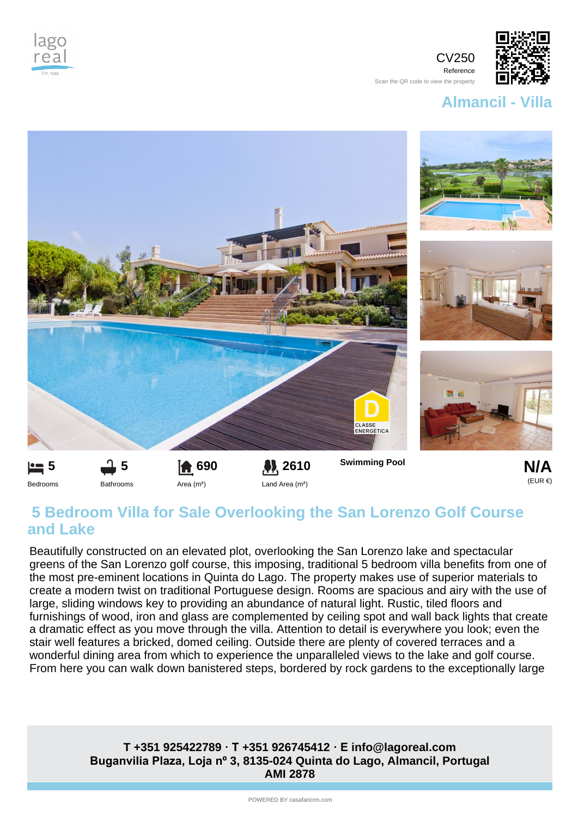

CV250 Reference Scan the QR code to view the property



**Almancil - Villa**



## **5 Bedroom Villa for Sale Overlooking the San Lorenzo Golf Course and Lake**

Beautifully constructed on an elevated plot, overlooking the San Lorenzo lake and spectacular greens of the San Lorenzo golf course, this imposing, traditional 5 bedroom villa benefits from one of the most pre-eminent locations in Quinta do Lago. The property makes use of superior materials to create a modern twist on traditional Portuguese design. Rooms are spacious and airy with the use of large, sliding windows key to providing an abundance of natural light. Rustic, tiled floors and furnishings of wood, iron and glass are complemented by ceiling spot and wall back lights that create a dramatic effect as you move through the villa. Attention to detail is everywhere you look; even the stair well features a bricked, domed ceiling. Outside there are plenty of covered terraces and a wonderful dining area from which to experience the unparalleled views to the lake and golf course. From here you can walk down banistered steps, bordered by rock gardens to the exceptionally large

## **Buganvilia Plaza, Loja nº 3, 8135-024 Quinta do Lago, Almancil, Portugal AMI 2878 T +351 925422789 · T +351 926745412 · E info@lagoreal.com**